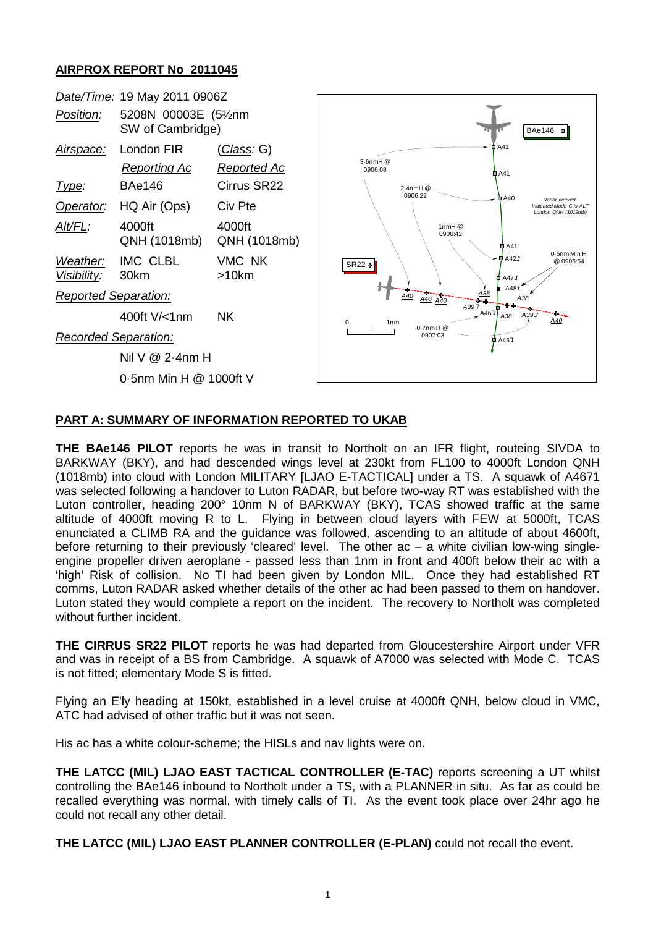## **AIRPROX REPORT No 2011045**



## **PART A: SUMMARY OF INFORMATION REPORTED TO UKAB**

**THE BAe146 PILOT** reports he was in transit to Northolt on an IFR flight, routeing SIVDA to BARKWAY (BKY), and had descended wings level at 230kt from FL100 to 4000ft London QNH (1018mb) into cloud with London MILITARY [LJAO E-TACTICAL] under a TS. A squawk of A4671 was selected following a handover to Luton RADAR, but before two-way RT was established with the Luton controller, heading 200° 10nm N of BARKWAY (BKY), TCAS showed traffic at the same altitude of 4000ft moving R to L. Flying in between cloud layers with FEW at 5000ft, TCAS enunciated a CLIMB RA and the guidance was followed, ascending to an altitude of about 4600ft, before returning to their previously 'cleared' level. The other ac – a white civilian low-wing singleengine propeller driven aeroplane - passed less than 1nm in front and 400ft below their ac with a 'high' Risk of collision. No TI had been given by London MIL. Once they had established RT comms, Luton RADAR asked whether details of the other ac had been passed to them on handover. Luton stated they would complete a report on the incident. The recovery to Northolt was completed without further incident.

**THE CIRRUS SR22 PILOT** reports he was had departed from Gloucestershire Airport under VFR and was in receipt of a BS from Cambridge. A squawk of A7000 was selected with Mode C. TCAS is not fitted; elementary Mode S is fitted.

Flying an E'ly heading at 150kt, established in a level cruise at 4000ft QNH, below cloud in VMC, ATC had advised of other traffic but it was not seen.

His ac has a white colour-scheme; the HISLs and nav lights were on.

**THE LATCC (MIL) LJAO EAST TACTICAL CONTROLLER (E-TAC)** reports screening a UT whilst controlling the BAe146 inbound to Northolt under a TS, with a PLANNER in situ. As far as could be recalled everything was normal, with timely calls of TI. As the event took place over 24hr ago he could not recall any other detail.

**THE LATCC (MIL) LJAO EAST PLANNER CONTROLLER (E-PLAN)** could not recall the event.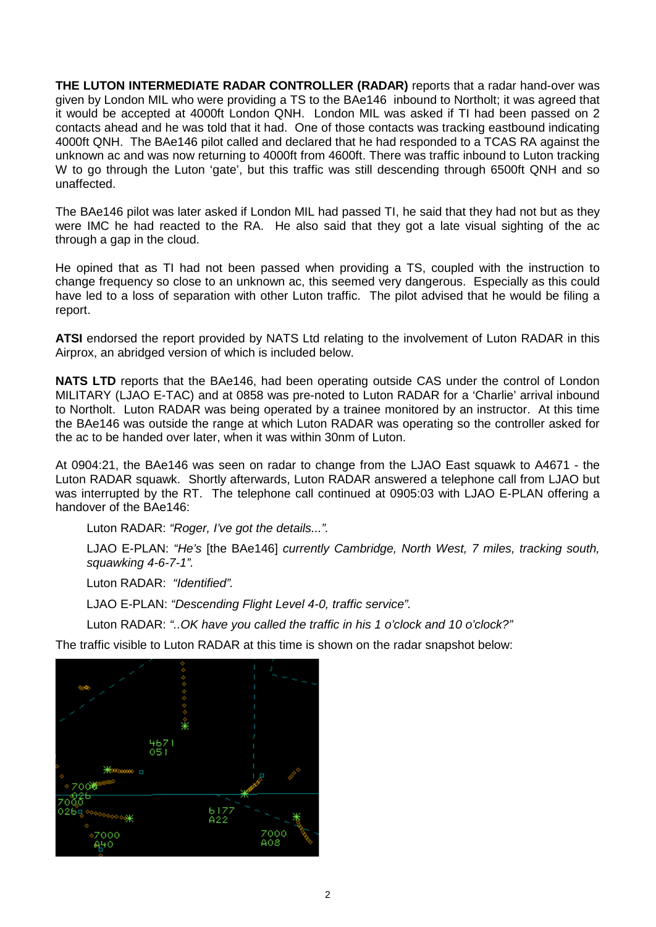**THE LUTON INTERMEDIATE RADAR CONTROLLER (RADAR)** reports that a radar hand-over was given by London MIL who were providing a TS to the BAe146 inbound to Northolt; it was agreed that it would be accepted at 4000ft London QNH. London MIL was asked if TI had been passed on 2 contacts ahead and he was told that it had. One of those contacts was tracking eastbound indicating 4000ft QNH. The BAe146 pilot called and declared that he had responded to a TCAS RA against the unknown ac and was now returning to 4000ft from 4600ft. There was traffic inbound to Luton tracking W to go through the Luton 'gate', but this traffic was still descending through 6500ft QNH and so unaffected.

The BAe146 pilot was later asked if London MIL had passed TI, he said that they had not but as they were IMC he had reacted to the RA. He also said that they got a late visual sighting of the ac through a gap in the cloud.

He opined that as TI had not been passed when providing a TS, coupled with the instruction to change frequency so close to an unknown ac, this seemed very dangerous. Especially as this could have led to a loss of separation with other Luton traffic. The pilot advised that he would be filing a report.

**ATSI** endorsed the report provided by NATS Ltd relating to the involvement of Luton RADAR in this Airprox, an abridged version of which is included below.

**NATS LTD** reports that the BAe146, had been operating outside CAS under the control of London MILITARY (LJAO E-TAC) and at 0858 was pre-noted to Luton RADAR for a 'Charlie' arrival inbound to Northolt. Luton RADAR was being operated by a trainee monitored by an instructor. At this time the BAe146 was outside the range at which Luton RADAR was operating so the controller asked for the ac to be handed over later, when it was within 30nm of Luton.

At 0904:21, the BAe146 was seen on radar to change from the LJAO East squawk to A4671 - the Luton RADAR squawk. Shortly afterwards, Luton RADAR answered a telephone call from LJAO but was interrupted by the RT. The telephone call continued at 0905:03 with LJAO E-PLAN offering a handover of the BAe146:

Luton RADAR: *"Roger, I've got the details...".*

LJAO E-PLAN: *"He's* [the BAe146] *currently Cambridge, North West, 7 miles, tracking south, squawking 4-6-7-1".*

Luton RADAR: *"Identified".*

LJAO E-PLAN: *"Descending Flight Level 4-0, traffic service".*

Luton RADAR: *"..OK have you called the traffic in his 1 o'clock and 10 o'clock?"*

The traffic visible to Luton RADAR at this time is shown on the radar snapshot below:

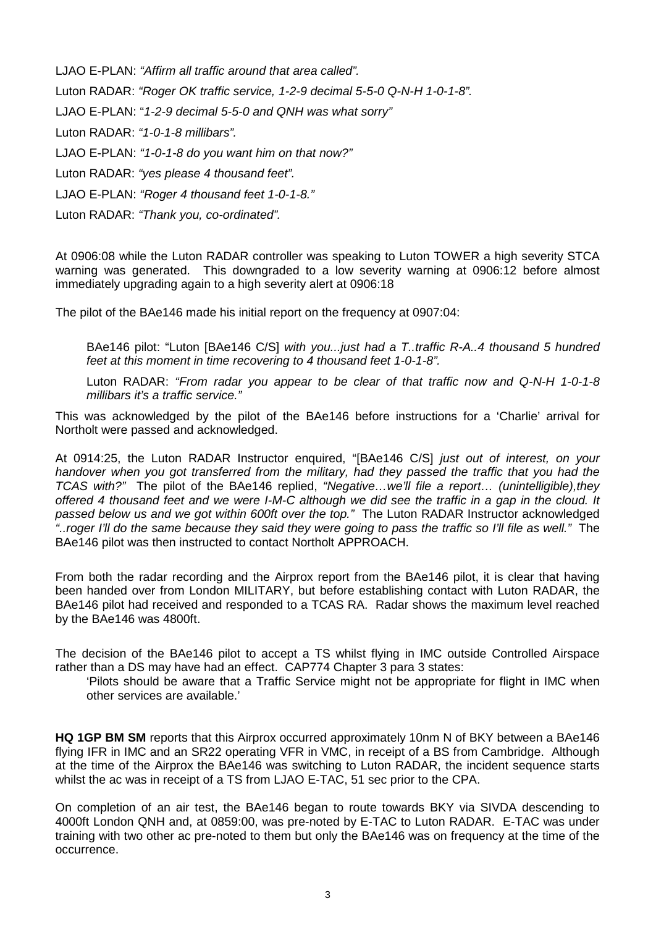LJAO E-PLAN: *"Affirm all traffic around that area called".* Luton RADAR: *"Roger OK traffic service, 1-2-9 decimal 5-5-0 Q-N-H 1-0-1-8".* LJAO E-PLAN: "*1-2-9 decimal 5-5-0 and QNH was what sorry"* Luton RADAR: *"1-0-1-8 millibars".*  LJAO E-PLAN: *"1-0-1-8 do you want him on that now?"*  Luton RADAR: *"yes please 4 thousand feet".*

LJAO E-PLAN: *"Roger 4 thousand feet 1-0-1-8."*

Luton RADAR: *"Thank you, co-ordinated".*

At 0906:08 while the Luton RADAR controller was speaking to Luton TOWER a high severity STCA warning was generated. This downgraded to a low severity warning at 0906:12 before almost immediately upgrading again to a high severity alert at 0906:18

The pilot of the BAe146 made his initial report on the frequency at 0907:04:

BAe146 pilot: "Luton [BAe146 C/S] *with you...just had a T..traffic R-A..4 thousand 5 hundred feet at this moment in time recovering to 4 thousand feet 1-0-1-8".*

Luton RADAR: *"From radar you appear to be clear of that traffic now and Q-N-H 1-0-1-8 millibars it's a traffic service."*

This was acknowledged by the pilot of the BAe146 before instructions for a 'Charlie' arrival for Northolt were passed and acknowledged.

At 0914:25, the Luton RADAR Instructor enquired, "[BAe146 C/S] *just out of interest, on your handover when you got transferred from the military, had they passed the traffic that you had the TCAS with?"* The pilot of the BAe146 replied, *"Negative…we'll file a report… (unintelligible),they offered 4 thousand feet and we were I-M-C although we did see the traffic in a gap in the cloud. It passed below us and we got within 600ft over the top."* The Luton RADAR Instructor acknowledged *"..roger I'll do the same because they said they were going to pass the traffic so I'll file as well."* The BAe146 pilot was then instructed to contact Northolt APPROACH.

From both the radar recording and the Airprox report from the BAe146 pilot, it is clear that having been handed over from London MILITARY, but before establishing contact with Luton RADAR, the BAe146 pilot had received and responded to a TCAS RA. Radar shows the maximum level reached by the BAe146 was 4800ft.

The decision of the BAe146 pilot to accept a TS whilst flying in IMC outside Controlled Airspace rather than a DS may have had an effect. CAP774 Chapter 3 para 3 states:

'Pilots should be aware that a Traffic Service might not be appropriate for flight in IMC when other services are available.'

**HQ 1GP BM SM** reports that this Airprox occurred approximately 10nm N of BKY between a BAe146 flying IFR in IMC and an SR22 operating VFR in VMC, in receipt of a BS from Cambridge. Although at the time of the Airprox the BAe146 was switching to Luton RADAR, the incident sequence starts whilst the ac was in receipt of a TS from LJAO E-TAC, 51 sec prior to the CPA.

On completion of an air test, the BAe146 began to route towards BKY via SIVDA descending to 4000ft London QNH and, at 0859:00, was pre-noted by E-TAC to Luton RADAR. E-TAC was under training with two other ac pre-noted to them but only the BAe146 was on frequency at the time of the occurrence.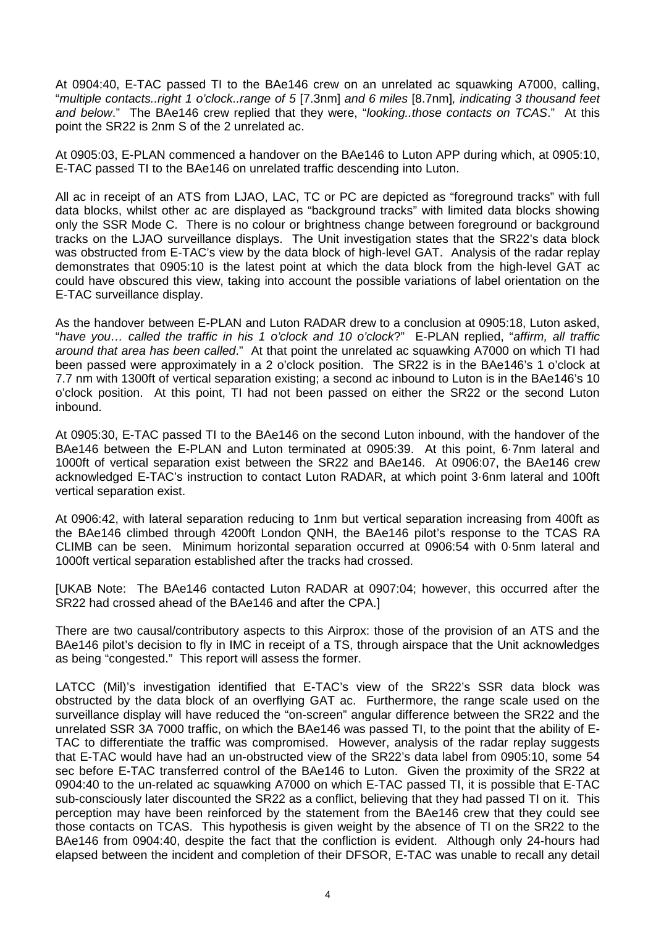At 0904:40, E-TAC passed TI to the BAe146 crew on an unrelated ac squawking A7000, calling, "*multiple contacts..right 1 o'clock..range of 5* [7.3nm] *and 6 miles* [8.7nm]*, indicating 3 thousand feet and below*." The BAe146 crew replied that they were, "*looking..those contacts on TCAS*." At this point the SR22 is 2nm S of the 2 unrelated ac.

At 0905:03, E-PLAN commenced a handover on the BAe146 to Luton APP during which, at 0905:10, E-TAC passed TI to the BAe146 on unrelated traffic descending into Luton.

All ac in receipt of an ATS from LJAO, LAC, TC or PC are depicted as "foreground tracks" with full data blocks, whilst other ac are displayed as "background tracks" with limited data blocks showing only the SSR Mode C. There is no colour or brightness change between foreground or background tracks on the LJAO surveillance displays. The Unit investigation states that the SR22's data block was obstructed from E-TAC's view by the data block of high-level GAT. Analysis of the radar replay demonstrates that 0905:10 is the latest point at which the data block from the high-level GAT ac could have obscured this view, taking into account the possible variations of label orientation on the E-TAC surveillance display.

As the handover between E-PLAN and Luton RADAR drew to a conclusion at 0905:18, Luton asked, "*have you… called the traffic in his 1 o'clock and 10 o'clock*?" E-PLAN replied, "*affirm, all traffic around that area has been called*." At that point the unrelated ac squawking A7000 on which TI had been passed were approximately in a 2 o'clock position. The SR22 is in the BAe146's 1 o'clock at 7.7 nm with 1300ft of vertical separation existing; a second ac inbound to Luton is in the BAe146's 10 o'clock position. At this point, TI had not been passed on either the SR22 or the second Luton inbound.

At 0905:30, E-TAC passed TI to the BAe146 on the second Luton inbound, with the handover of the BAe146 between the E-PLAN and Luton terminated at 0905:39. At this point, 6·7nm lateral and 1000ft of vertical separation exist between the SR22 and BAe146. At 0906:07, the BAe146 crew acknowledged E-TAC's instruction to contact Luton RADAR, at which point 3·6nm lateral and 100ft vertical separation exist.

At 0906:42, with lateral separation reducing to 1nm but vertical separation increasing from 400ft as the BAe146 climbed through 4200ft London QNH, the BAe146 pilot's response to the TCAS RA CLIMB can be seen. Minimum horizontal separation occurred at 0906:54 with 0·5nm lateral and 1000ft vertical separation established after the tracks had crossed.

[UKAB Note: The BAe146 contacted Luton RADAR at 0907:04; however, this occurred after the SR22 had crossed ahead of the BAe146 and after the CPA.]

There are two causal/contributory aspects to this Airprox: those of the provision of an ATS and the BAe146 pilot's decision to fly in IMC in receipt of a TS, through airspace that the Unit acknowledges as being "congested." This report will assess the former.

LATCC (Mil)'s investigation identified that E-TAC's view of the SR22's SSR data block was obstructed by the data block of an overflying GAT ac. Furthermore, the range scale used on the surveillance display will have reduced the "on-screen" angular difference between the SR22 and the unrelated SSR 3A 7000 traffic, on which the BAe146 was passed TI, to the point that the ability of E-TAC to differentiate the traffic was compromised. However, analysis of the radar replay suggests that E-TAC would have had an un-obstructed view of the SR22's data label from 0905:10, some 54 sec before E-TAC transferred control of the BAe146 to Luton. Given the proximity of the SR22 at 0904:40 to the un-related ac squawking A7000 on which E-TAC passed TI, it is possible that E-TAC sub-consciously later discounted the SR22 as a conflict, believing that they had passed TI on it. This perception may have been reinforced by the statement from the BAe146 crew that they could see those contacts on TCAS. This hypothesis is given weight by the absence of TI on the SR22 to the BAe146 from 0904:40, despite the fact that the confliction is evident. Although only 24-hours had elapsed between the incident and completion of their DFSOR, E-TAC was unable to recall any detail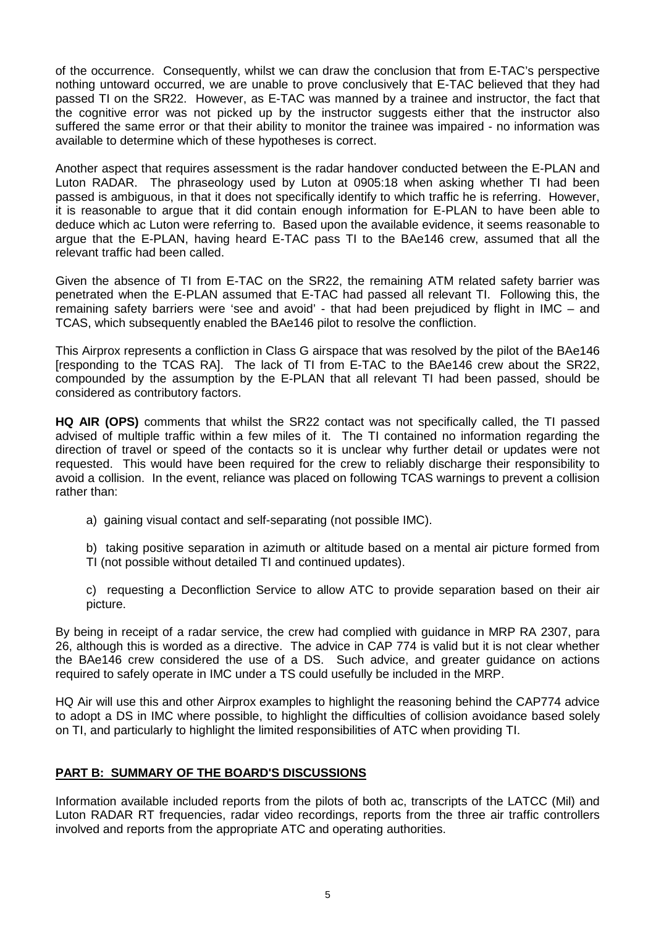of the occurrence. Consequently, whilst we can draw the conclusion that from E-TAC's perspective nothing untoward occurred, we are unable to prove conclusively that E-TAC believed that they had passed TI on the SR22. However, as E-TAC was manned by a trainee and instructor, the fact that the cognitive error was not picked up by the instructor suggests either that the instructor also suffered the same error or that their ability to monitor the trainee was impaired - no information was available to determine which of these hypotheses is correct.

Another aspect that requires assessment is the radar handover conducted between the E-PLAN and Luton RADAR. The phraseology used by Luton at 0905:18 when asking whether TI had been passed is ambiguous, in that it does not specifically identify to which traffic he is referring. However, it is reasonable to argue that it did contain enough information for E-PLAN to have been able to deduce which ac Luton were referring to. Based upon the available evidence, it seems reasonable to argue that the E-PLAN, having heard E-TAC pass TI to the BAe146 crew, assumed that all the relevant traffic had been called.

Given the absence of TI from E-TAC on the SR22, the remaining ATM related safety barrier was penetrated when the E-PLAN assumed that E-TAC had passed all relevant TI. Following this, the remaining safety barriers were 'see and avoid' - that had been prejudiced by flight in IMC – and TCAS, which subsequently enabled the BAe146 pilot to resolve the confliction.

This Airprox represents a confliction in Class G airspace that was resolved by the pilot of the BAe146 [responding to the TCAS RA]. The lack of TI from E-TAC to the BAe146 crew about the SR22, compounded by the assumption by the E-PLAN that all relevant TI had been passed, should be considered as contributory factors.

**HQ AIR (OPS)** comments that whilst the SR22 contact was not specifically called, the TI passed advised of multiple traffic within a few miles of it. The TI contained no information regarding the direction of travel or speed of the contacts so it is unclear why further detail or updates were not requested. This would have been required for the crew to reliably discharge their responsibility to avoid a collision. In the event, reliance was placed on following TCAS warnings to prevent a collision rather than:

a) gaining visual contact and self-separating (not possible IMC).

b) taking positive separation in azimuth or altitude based on a mental air picture formed from TI (not possible without detailed TI and continued updates).

c) requesting a Deconfliction Service to allow ATC to provide separation based on their air picture.

By being in receipt of a radar service, the crew had complied with guidance in MRP RA 2307, para 26, although this is worded as a directive. The advice in CAP 774 is valid but it is not clear whether the BAe146 crew considered the use of a DS. Such advice, and greater guidance on actions required to safely operate in IMC under a TS could usefully be included in the MRP.

HQ Air will use this and other Airprox examples to highlight the reasoning behind the CAP774 advice to adopt a DS in IMC where possible, to highlight the difficulties of collision avoidance based solely on TI, and particularly to highlight the limited responsibilities of ATC when providing TI.

## **PART B: SUMMARY OF THE BOARD'S DISCUSSIONS**

Information available included reports from the pilots of both ac, transcripts of the LATCC (Mil) and Luton RADAR RT frequencies, radar video recordings, reports from the three air traffic controllers involved and reports from the appropriate ATC and operating authorities.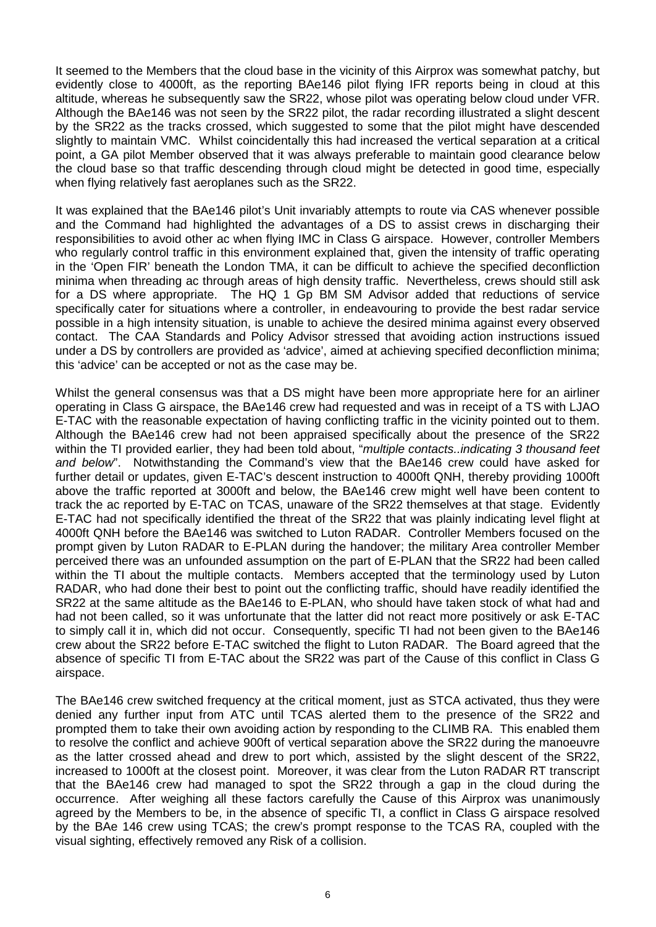It seemed to the Members that the cloud base in the vicinity of this Airprox was somewhat patchy, but evidently close to 4000ft, as the reporting BAe146 pilot flying IFR reports being in cloud at this altitude, whereas he subsequently saw the SR22, whose pilot was operating below cloud under VFR. Although the BAe146 was not seen by the SR22 pilot, the radar recording illustrated a slight descent by the SR22 as the tracks crossed, which suggested to some that the pilot might have descended slightly to maintain VMC. Whilst coincidentally this had increased the vertical separation at a critical point, a GA pilot Member observed that it was always preferable to maintain good clearance below the cloud base so that traffic descending through cloud might be detected in good time, especially when flying relatively fast aeroplanes such as the SR22.

It was explained that the BAe146 pilot's Unit invariably attempts to route via CAS whenever possible and the Command had highlighted the advantages of a DS to assist crews in discharging their responsibilities to avoid other ac when flying IMC in Class G airspace. However, controller Members who regularly control traffic in this environment explained that, given the intensity of traffic operating in the 'Open FIR' beneath the London TMA, it can be difficult to achieve the specified deconfliction minima when threading ac through areas of high density traffic. Nevertheless, crews should still ask for a DS where appropriate. The HQ 1 Gp BM SM Advisor added that reductions of service specifically cater for situations where a controller, in endeavouring to provide the best radar service possible in a high intensity situation, is unable to achieve the desired minima against every observed contact. The CAA Standards and Policy Advisor stressed that avoiding action instructions issued under a DS by controllers are provided as 'advice', aimed at achieving specified deconfliction minima; this 'advice' can be accepted or not as the case may be.

Whilst the general consensus was that a DS might have been more appropriate here for an airliner operating in Class G airspace, the BAe146 crew had requested and was in receipt of a TS with LJAO E-TAC with the reasonable expectation of having conflicting traffic in the vicinity pointed out to them. Although the BAe146 crew had not been appraised specifically about the presence of the SR22 within the TI provided earlier, they had been told about, "*multiple contacts..indicating 3 thousand feet and below*". Notwithstanding the Command's view that the BAe146 crew could have asked for further detail or updates, given E-TAC's descent instruction to 4000ft QNH, thereby providing 1000ft above the traffic reported at 3000ft and below, the BAe146 crew might well have been content to track the ac reported by E-TAC on TCAS, unaware of the SR22 themselves at that stage. Evidently E-TAC had not specifically identified the threat of the SR22 that was plainly indicating level flight at 4000ft QNH before the BAe146 was switched to Luton RADAR. Controller Members focused on the prompt given by Luton RADAR to E-PLAN during the handover; the military Area controller Member perceived there was an unfounded assumption on the part of E-PLAN that the SR22 had been called within the TI about the multiple contacts. Members accepted that the terminology used by Luton RADAR, who had done their best to point out the conflicting traffic, should have readily identified the SR22 at the same altitude as the BAe146 to E-PLAN, who should have taken stock of what had and had not been called, so it was unfortunate that the latter did not react more positively or ask E-TAC to simply call it in, which did not occur. Consequently, specific TI had not been given to the BAe146 crew about the SR22 before E-TAC switched the flight to Luton RADAR. The Board agreed that the absence of specific TI from E-TAC about the SR22 was part of the Cause of this conflict in Class G airspace.

The BAe146 crew switched frequency at the critical moment, just as STCA activated, thus they were denied any further input from ATC until TCAS alerted them to the presence of the SR22 and prompted them to take their own avoiding action by responding to the CLIMB RA. This enabled them to resolve the conflict and achieve 900ft of vertical separation above the SR22 during the manoeuvre as the latter crossed ahead and drew to port which, assisted by the slight descent of the SR22, increased to 1000ft at the closest point. Moreover, it was clear from the Luton RADAR RT transcript that the BAe146 crew had managed to spot the SR22 through a gap in the cloud during the occurrence. After weighing all these factors carefully the Cause of this Airprox was unanimously agreed by the Members to be, in the absence of specific TI, a conflict in Class G airspace resolved by the BAe 146 crew using TCAS; the crew's prompt response to the TCAS RA, coupled with the visual sighting, effectively removed any Risk of a collision.